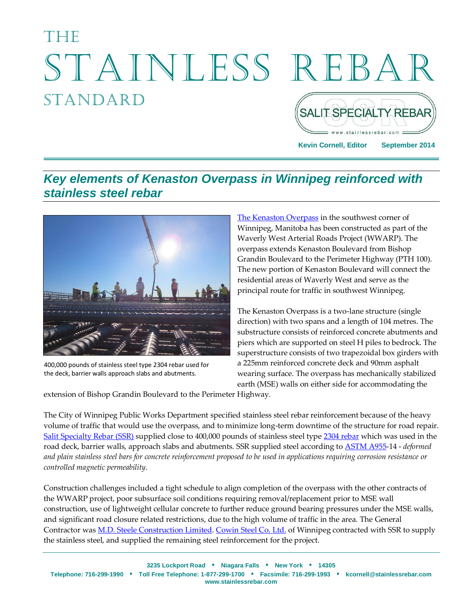# The Stainless Rebar **STANDARD SALIT SPECIALTY REBAR**

**Kevin Cornell, Editor September 2014**

#### *Key elements of Kenaston Overpass in Winnipeg reinforced with stainless steel rebar*



400,000 pounds of stainless steel type 2304 rebar used for the deck, barrier walls approach slabs and abutments.

[The Kenaston Overpass](http://www.winnipeg.ca/publicworks/MajorProjects/WaverleyWestARP/) in the southwest corner of Winnipeg, Manitoba has been constructed as part of the Waverly West Arterial Roads Project (WWARP). The overpass extends Kenaston Boulevard from Bishop Grandin Boulevard to the Perimeter Highway (PTH 100). The new portion of Kenaston Boulevard will connect the residential areas of Waverly West and serve as the principal route for traffic in southwest Winnipeg.

The Kenaston Overpass is a two-lane structure (single direction) with two spans and a length of 104 metres. The substructure consists of reinforced concrete abutments and piers which are supported on steel H piles to bedrock. The superstructure consists of two trapezoidal box girders with a 225mm reinforced concrete deck and 90mm asphalt wearing surface. The overpass has mechanically stabilized earth (MSE) walls on either side for accommodating the

extension of Bishop Grandin Boulevard to the Perimeter Highway.

The City of Winnipeg Public Works Department specified stainless steel rebar reinforcement because of the heavy volume of traffic that would use the overpass, and to minimize long-term downtime of the structure for road repair. [Salit Specialty Rebar](http://stainlessrebar.com/) (SSR) supplied close to 400,000 pounds of stainless steel type [2304 rebar](http://stainlessrebar.com/stainless-rebar-is-cost-effective/types-of-stainless-steel-rebar/) which was used in the road deck, barrier walls, approach slabs and abutments. SSR supplied steel according to [ASTM A955-](http://www.astm.org/DownloadStandardA.html?ASTM%20HC=ASTM&DESIGNATION=A955&AdID=&Split=&Campaign=Individual%20Standards%207&gclid=COHj5p_rtcACFahaMgodgVkAjA)14 - *deformed and plain stainless steel bars for concrete reinforcement proposed to be used in applications requiring corrosion resistance or controlled magnetic permeability*.

Construction challenges included a tight schedule to align completion of the overpass with the other contracts of the WWARP project, poor subsurface soil conditions requiring removal/replacement prior to MSE wall construction, use of lightweight cellular concrete to further reduce ground bearing pressures under the MSE walls, and significant road closure related restrictions, due to the high volume of traffic in the area. The General Contractor was **M.D.** Steele Construction Limited. [Cowin Steel](http://cowinsteel.com/) Co. Ltd. of Winnipeg contracted with SSR to supply the stainless steel, and supplied the remaining steel reinforcement for the project.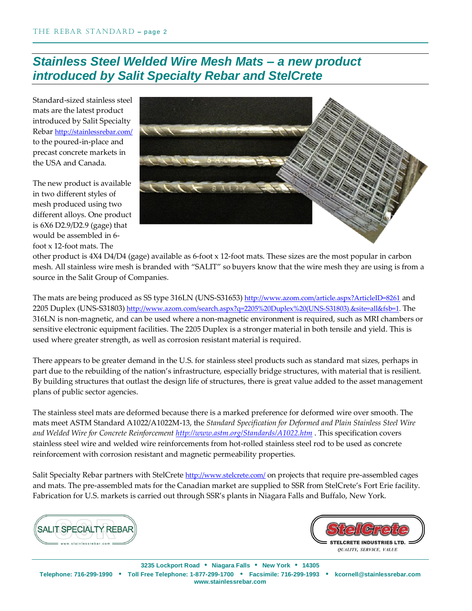### *Stainless Steel Welded Wire Mesh Mats – a new product introduced by Salit Specialty Rebar and StelCrete*

Standard-sized stainless steel mats are the latest product introduced by Salit Specialty Rebar <http://stainlessrebar.com/> to the poured-in-place and precast concrete markets in the USA and Canada.

The new product is available in two different styles of mesh produced using two different alloys. One product is 6X6 D2.9/D2.9 (gage) that would be assembled in 6 foot x 12-foot mats. The



other product is 4X4 D4/D4 (gage) available as 6-foot x 12-foot mats. These sizes are the most popular in carbon mesh. All stainless wire mesh is branded with "SALIT" so buyers know that the wire mesh they are using is from a source in the Salit Group of Companies.

The mats are being produced as SS type 316LN (UNS-S31653) <http://www.azom.com/article.aspx?ArticleID=8261> and 2205 Duplex (UNS-S31803) [http://www.azom.com/search.aspx?q=2205%20Duplex%20\(UNS-S31803\).&site=all&fsb=1.](http://www.azom.com/search.aspx?q=2205%20Duplex%20(UNS-S31803).&site=all&fsb=1) The 316LN is non-magnetic, and can be used where a non-magnetic environment is required, such as MRI chambers or sensitive electronic equipment facilities. The 2205 Duplex is a stronger material in both tensile and yield. This is used where greater strength, as well as corrosion resistant material is required.

There appears to be greater demand in the U.S. for stainless steel products such as standard mat sizes, perhaps in part due to the rebuilding of the nation's infrastructure, especially bridge structures, with material that is resilient. By building structures that outlast the design life of structures, there is great value added to the asset management plans of public sector agencies.

The stainless steel mats are deformed because there is a marked preference for deformed wire over smooth. The mats meet ASTM Standard A1022/A1022M-13, the *Standard Specification for Deformed and Plain Stainless Steel Wire and Welded Wire for Concrete Reinforcement <http://www.astm.org/Standards/A1022.htm>* . This specification covers stainless steel wire and welded wire reinforcements from hot-rolled stainless steel rod to be used as concrete reinforcement with corrosion resistant and magnetic permeability properties.

Salit Specialty Rebar partners with StelCrete <http://www.stelcrete.com/> on projects that require pre-assembled cages and mats. The pre-assembled mats for the Canadian market are supplied to SSR from StelCrete's Fort Erie facility. Fabrication for U.S. markets is carried out through SSR's plants in Niagara Falls and Buffalo, New York.





**3235 Lockport Road** • **Niagara Falls** • **New York** • **14305 Telephone: 716-299-1990** • **Toll Free Telephone: 1-877-299-1700** • **Facsimile: 716-299-1993** • **kcornell@stainlessrebar.com www.stainlessrebar.com**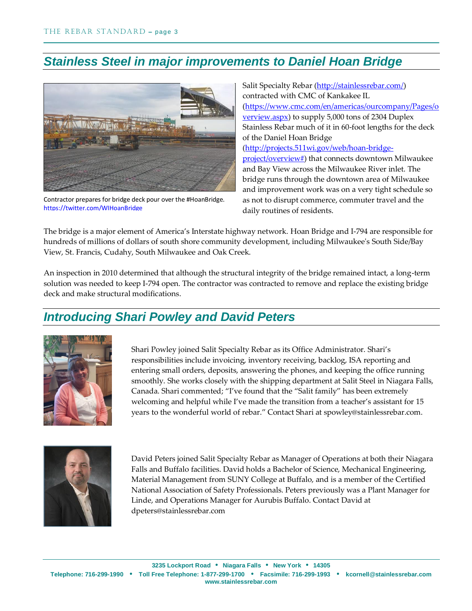## *Stainless Steel in major improvements to Daniel Hoan Bridge*



Contractor prepares for bridge deck pour over the #HoanBridge. <https://twitter.com/WIHoanBridge>

Salit Specialty Rebar [\(http://stainlessrebar.com/\)](http://stainlessrebar.com/) contracted with CMC of Kankakee IL [\(https://www.cmc.com/en/americas/ourcompany/Pages/o](https://www.cmc.com/en/americas/ourcompany/Pages/overview.aspx) [verview.aspx\)](https://www.cmc.com/en/americas/ourcompany/Pages/overview.aspx) to supply 5,000 tons of 2304 Duplex Stainless Rebar much of it in 60-foot lengths for the deck of the Daniel Hoan Bridge [\(http://projects.511wi.gov/web/hoan-bridge](http://projects.511wi.gov/web/hoan-bridge-project/overview)[project/overview#\)](http://projects.511wi.gov/web/hoan-bridge-project/overview) that connects downtown Milwaukee and Bay View across the Milwaukee River inlet. The bridge runs through the downtown area of Milwaukee and improvement work was on a very tight schedule so as not to disrupt commerce, commuter travel and the daily routines of residents.

The bridge is a major element of America's Interstate highway network. Hoan Bridge and I-794 are responsible for hundreds of millions of dollars of south shore community development, including Milwaukee's South Side/Bay View, St. Francis, Cudahy, South Milwaukee and Oak Creek.

An inspection in 2010 determined that although the structural integrity of the bridge remained intact, a long-term solution was needed to keep I-794 open. The contractor was contracted to remove and replace the existing bridge deck and make structural modifications.

## *Introducing Shari Powley and David Peters*



Shari Powley joined Salit Specialty Rebar as its Office Administrator. Shari's responsibilities include invoicing, inventory receiving, backlog, ISA reporting and entering small orders, deposits, answering the phones, and keeping the office running smoothly. She works closely with the shipping department at Salit Steel in Niagara Falls, Canada. Shari commented; "I've found that the "Salit family" has been extremely welcoming and helpful while I've made the transition from a teacher's assistant for 15 years to the wonderful world of rebar." Contact Shari at spowley@stainlessrebar.com.



David Peters joined Salit Specialty Rebar as Manager of Operations at both their Niagara Falls and Buffalo facilities. David holds a Bachelor of Science, Mechanical Engineering, Material Management from SUNY College at Buffalo, and is a member of the Certified National Association of Safety Professionals. Peters previously was a Plant Manager for Linde, and Operations Manager for Aurubis Buffalo. Contact David at dpeters@stainlessrebar.com